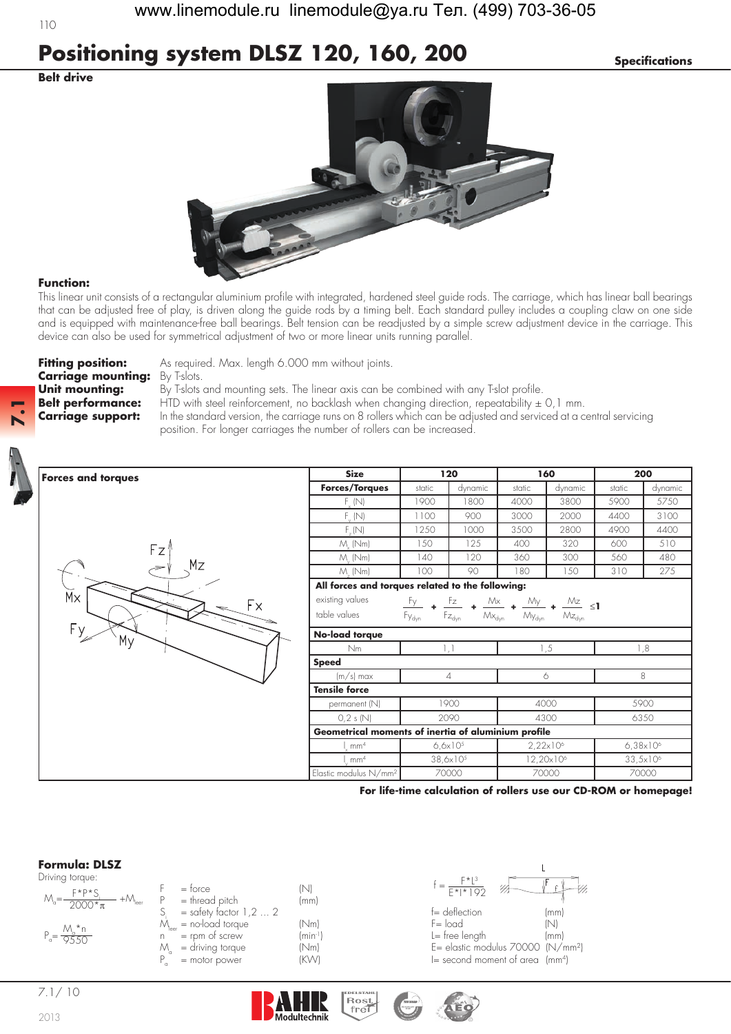# **Positioning system DLSZ 120, 160, 200** *Specifications*

### **Belt drive**



### **Function:**

This linear unit consists of a rectangular aluminium profile with integrated, hardened steel guide rods. The carriage, which has linear ball bearings that can be adjusted free of play, is driven along the guide rods by a timing belt. Each standard pulley includes a coupling claw on one side and is equipped with maintenance-free ball bearings. Belt tension can be readjusted by a simple screw adjustment device in the carriage. This device can also be used for symmetrical adjustment of two or more linear units running parallel.

**Carriage mounting:** By T-slots.

**Forces and torques**

**Fitting position:** As required. Max. length 6.000 mm without joints.

**Unit mounting:** By T-slots and mounting sets. The linear axis can be combined with any T-slot profile. **Belt performance:** HTD with steel reinforcement, no backlash when changing direction, repeatability  $\pm$  0,1 mm. **Carriage support:** In the standard version, the carriage runs on 8 rollers which can be adjusted and serviced at a central servicing position. For longer carriages the number of rollers can be increased.



**7.1**



| <b>Size</b>                                         |                                                                                                               | 120                                                                            |                       | 160                                         | 200                  |         |  |
|-----------------------------------------------------|---------------------------------------------------------------------------------------------------------------|--------------------------------------------------------------------------------|-----------------------|---------------------------------------------|----------------------|---------|--|
| Forces/Torques                                      | static                                                                                                        | dynamic                                                                        | static                | dynamic                                     | static               | dynamic |  |
| $F_{v}$ (N)                                         | 1900                                                                                                          | 1800                                                                           | 4000                  | 3800                                        | 5900                 | 5750    |  |
| $F_{\nu}$ (N)                                       | 1100                                                                                                          | 900                                                                            | 3000                  | 2000                                        | 4400                 | 3100    |  |
| F(N)                                                | 1250                                                                                                          | 1000                                                                           | 3500                  | 2800                                        | 4900                 | 4400    |  |
| $M_{.}$ (Nm)                                        | 150                                                                                                           | 125                                                                            | 400                   | 320                                         | 600                  | 510     |  |
| $M_{\odot}$ (Nm)                                    | 140                                                                                                           | 120                                                                            | 360                   | 300                                         | 560                  | 480     |  |
| M. (Nm)                                             | 100                                                                                                           | 90                                                                             | 180                   | 150                                         | 310                  | 275     |  |
| All forces and torques related to the following:    |                                                                                                               |                                                                                |                       |                                             |                      |         |  |
| existing values                                     | $\frac{Fy}{\sqrt{2}}$ + $\frac{Fz}{\sqrt{2}}$ +<br>$M_{\times}$ +<br>$\frac{My}{4}$ + $\frac{Mz}{S}$ $\leq$ 1 |                                                                                |                       |                                             |                      |         |  |
| table values                                        | $\mathsf{F}_{\mathsf{Y}_{\text{dyn}}}$                                                                        | $\mathsf{F}_{\mathsf{Z}_{\text{dyn}}}$<br>$\mathcal{M}\!\times_{\mathsf{dyn}}$ | My <sub>dyn</sub>     | $\mathsf{Mz}_{\scriptscriptstyle \sf{dyn}}$ |                      |         |  |
| No-load torque                                      |                                                                                                               |                                                                                |                       |                                             |                      |         |  |
| Nm                                                  | 1,1                                                                                                           |                                                                                | 1,5                   |                                             | 1,8                  |         |  |
| <b>Speed</b>                                        |                                                                                                               |                                                                                |                       |                                             |                      |         |  |
| $(m/s)$ max                                         | $\overline{4}$                                                                                                |                                                                                | 6                     |                                             | 8                    |         |  |
| <b>Tensile force</b>                                |                                                                                                               |                                                                                |                       |                                             |                      |         |  |
| permanent (N)                                       | 1900                                                                                                          |                                                                                | 4000                  |                                             | 5900                 |         |  |
| 0,2 s(N)                                            | 2090                                                                                                          |                                                                                | 4300                  |                                             | 6350                 |         |  |
| Geometrical moments of inertia of aluminium profile |                                                                                                               |                                                                                |                       |                                             |                      |         |  |
| $1 \text{ mm}^4$                                    | $6.6x10^{5}$                                                                                                  |                                                                                | $2,22 \times 10^6$    |                                             | $6,38\times10^{6}$   |         |  |
| mm <sup>4</sup>                                     | $38,6 \times 10^{5}$                                                                                          |                                                                                | 12,20x10 <sup>6</sup> |                                             | 33,5x10 <sup>6</sup> |         |  |
| Elastic modulus $N/mm^2$                            | 70000                                                                                                         |                                                                                | 70000                 |                                             | 70000                |         |  |

**For life-time calculation of rollers use our CD-ROM or homepage!**



| Driving torque:                                                      |                                   |                      | F*13                            |     |
|----------------------------------------------------------------------|-----------------------------------|----------------------|---------------------------------|-----|
| $F*P*S$<br>$M_{\rm g} = \frac{1}{2000* \pi}$<br>+/V\ <sub>leer</sub> | $=$ torce<br>$=$ thread pitch     | (mm)                 | $F*1*192$                       |     |
|                                                                      | = safety factor $1, 2, \ldots, 2$ |                      | $f =$ deflection                | (mr |
| M *n                                                                 | $\mu$ = no-load torque            | (Nm)                 | $F = \text{load}$               | INI |
| $P_a = \frac{1}{9.550}$                                              | $=$ rpm of screw                  | (min <sup>-1</sup> ) | $L =$ free length               | (mr |
|                                                                      | = driving torque<br>M             | (Nm)                 | E= elastic modulus 70000 (N     |     |
|                                                                      | = motor power                     | (KW)                 | $I =$ second moment of area (mr |     |